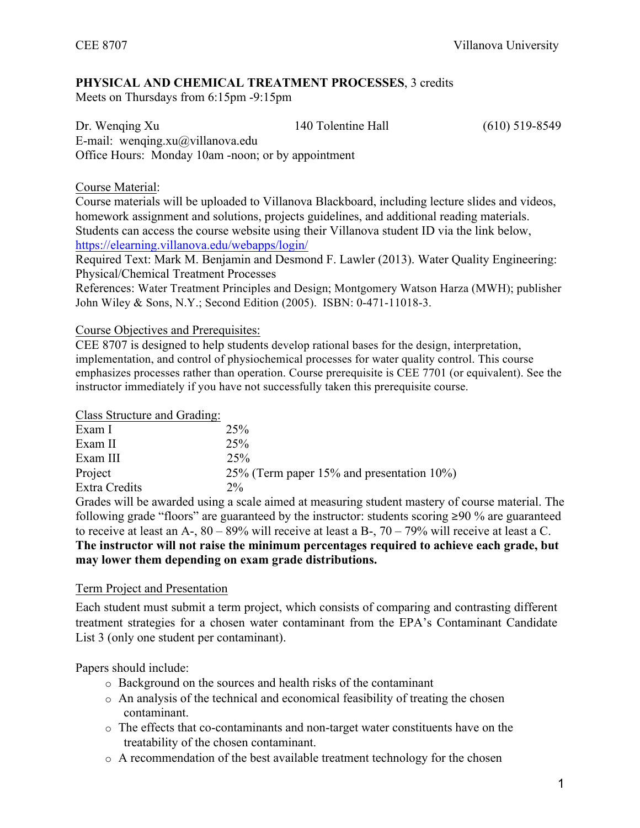# **PHYSICAL AND CHEMICAL TREATMENT PROCESSES**, 3 credits

Meets on Thursdays from 6:15pm -9:15pm

| Dr. Wenging Xu                                     | 140 Tolentine Hall | $(610)$ 519-8549 |
|----------------------------------------------------|--------------------|------------------|
| E-mail: wenging.xu $\omega$ villanova.edu          |                    |                  |
| Office Hours: Monday 10am -noon; or by appointment |                    |                  |

# Course Material:

Course materials will be uploaded to Villanova Blackboard, including lecture slides and videos, homework assignment and solutions, projects guidelines, and additional reading materials. Students can access the course website using their Villanova student ID via the link below, https://elearning.villanova.edu/webapps/login/

Required Text: Mark M. Benjamin and Desmond F. Lawler (2013). Water Quality Engineering: Physical/Chemical Treatment Processes

References: Water Treatment Principles and Design; Montgomery Watson Harza (MWH); publisher John Wiley & Sons, N.Y.; Second Edition (2005). ISBN: 0-471-11018-3.

Course Objectives and Prerequisites:

CEE 8707 is designed to help students develop rational bases for the design, interpretation, implementation, and control of physiochemical processes for water quality control. This course emphasizes processes rather than operation. Course prerequisite is CEE 7701 (or equivalent). See the instructor immediately if you have not successfully taken this prerequisite course.

Class Structure and Grading:

| Exam I        | 25%                                           |
|---------------|-----------------------------------------------|
| Exam II       | 25%                                           |
| Exam III      | 25%                                           |
| Project       | 25% (Term paper 15% and presentation $10\%$ ) |
| Extra Credits | $2\%$                                         |
| $\sim$ 1      |                                               |

Grades will be awarded using a scale aimed at measuring student mastery of course material. The following grade "floors" are guaranteed by the instructor: students scoring ≥90 % are guaranteed to receive at least an A-, 80 – 89% will receive at least a B-, 70 – 79% will receive at least a C. **The instructor will not raise the minimum percentages required to achieve each grade, but** 

# **may lower them depending on exam grade distributions.**

## Term Project and Presentation

Each student must submit a term project, which consists of comparing and contrasting different treatment strategies for a chosen water contaminant from the EPA's Contaminant Candidate List 3 (only one student per contaminant).

Papers should include:

- o Background on the sources and health risks of the contaminant
- o An analysis of the technical and economical feasibility of treating the chosen contaminant.
- o The effects that co-contaminants and non-target water constituents have on the treatability of the chosen contaminant.
- o A recommendation of the best available treatment technology for the chosen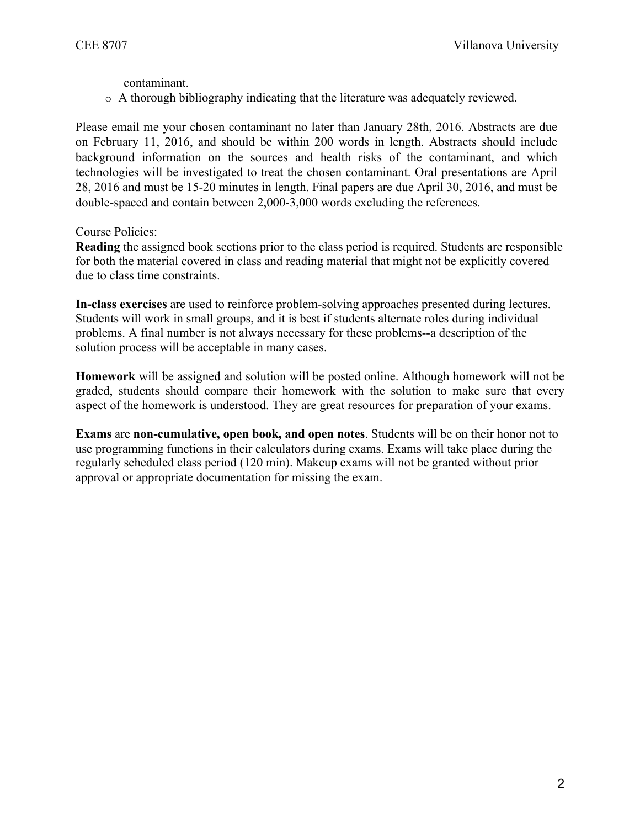contaminant.

o A thorough bibliography indicating that the literature was adequately reviewed.

Please email me your chosen contaminant no later than January 28th, 2016. Abstracts are due on February 11, 2016, and should be within 200 words in length. Abstracts should include background information on the sources and health risks of the contaminant, and which technologies will be investigated to treat the chosen contaminant. Oral presentations are April 28, 2016 and must be 15-20 minutes in length. Final papers are due April 30, 2016, and must be double-spaced and contain between 2,000-3,000 words excluding the references.

#### Course Policies:

**Reading** the assigned book sections prior to the class period is required. Students are responsible for both the material covered in class and reading material that might not be explicitly covered due to class time constraints.

**In-class exercises** are used to reinforce problem-solving approaches presented during lectures. Students will work in small groups, and it is best if students alternate roles during individual problems. A final number is not always necessary for these problems--a description of the solution process will be acceptable in many cases.

**Homework** will be assigned and solution will be posted online. Although homework will not be graded, students should compare their homework with the solution to make sure that every aspect of the homework is understood. They are great resources for preparation of your exams.

**Exams** are **non-cumulative, open book, and open notes**. Students will be on their honor not to use programming functions in their calculators during exams. Exams will take place during the regularly scheduled class period (120 min). Makeup exams will not be granted without prior approval or appropriate documentation for missing the exam.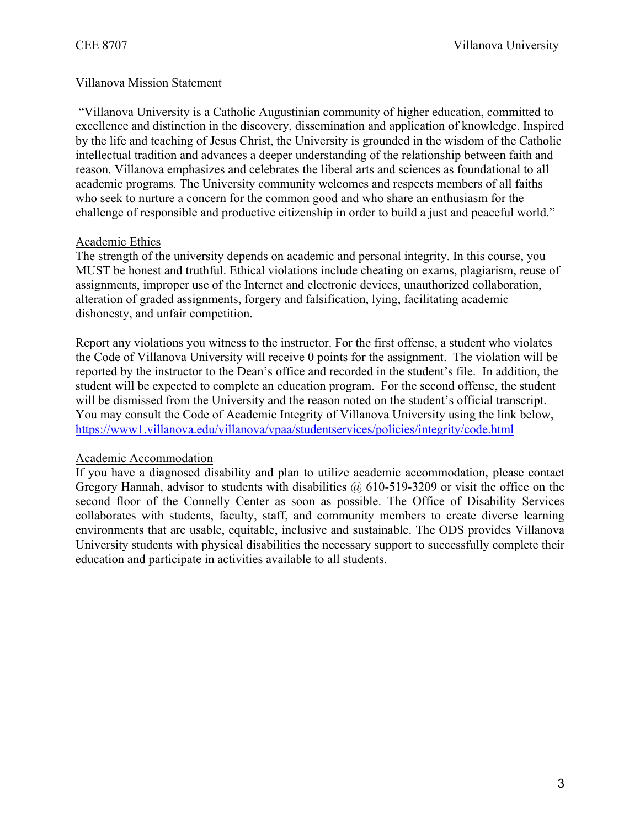## Villanova Mission Statement

"Villanova University is a Catholic Augustinian community of higher education, committed to excellence and distinction in the discovery, dissemination and application of knowledge. Inspired by the life and teaching of Jesus Christ, the University is grounded in the wisdom of the Catholic intellectual tradition and advances a deeper understanding of the relationship between faith and reason. Villanova emphasizes and celebrates the liberal arts and sciences as foundational to all academic programs. The University community welcomes and respects members of all faiths who seek to nurture a concern for the common good and who share an enthusiasm for the challenge of responsible and productive citizenship in order to build a just and peaceful world."

#### Academic Ethics

The strength of the university depends on academic and personal integrity. In this course, you MUST be honest and truthful. Ethical violations include cheating on exams, plagiarism, reuse of assignments, improper use of the Internet and electronic devices, unauthorized collaboration, alteration of graded assignments, forgery and falsification, lying, facilitating academic dishonesty, and unfair competition.

Report any violations you witness to the instructor. For the first offense, a student who violates the Code of Villanova University will receive 0 points for the assignment. The violation will be reported by the instructor to the Dean's office and recorded in the student's file. In addition, the student will be expected to complete an education program. For the second offense, the student will be dismissed from the University and the reason noted on the student's official transcript. You may consult the Code of Academic Integrity of Villanova University using the link below, https://www1.villanova.edu/villanova/vpaa/studentservices/policies/integrity/code.html

#### Academic Accommodation

If you have a diagnosed disability and plan to utilize academic accommodation, please contact Gregory Hannah, advisor to students with disabilities  $\omega$  610-519-3209 or visit the office on the second floor of the Connelly Center as soon as possible. The Office of Disability Services collaborates with students, faculty, staff, and community members to create diverse learning environments that are usable, equitable, inclusive and sustainable. The ODS provides Villanova University students with physical disabilities the necessary support to successfully complete their education and participate in activities available to all students.